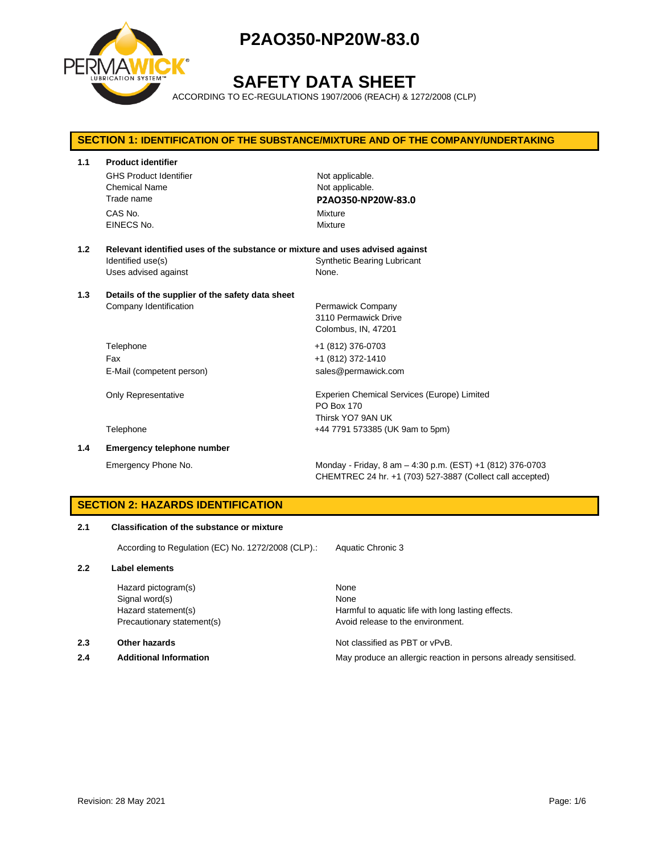

# **SAFETY DATA SHEET**

ACCORDING TO EC-REGULATIONS 1907/2006 (REACH) & 1272/2008 (CLP)

# **SECTION 1: IDENTIFICATION OF THE SUBSTANCE/MIXTURE AND OF THE COMPANY/UNDERTAKING 1.1 Product identifier** GHS Product Identifier Not applicable. Chemical Name Not applicable. Trade name **P2AO350-NP20W-83.0** CAS No. **Mixture** EINECS No. 2008 2009 2009 2009 2009 2009 2012 2022 2030 2040 2052 2053 2054 2055 2056 2057 2058 2059 2059 2059 **1.2 Relevant identified uses of the substance or mixture and uses advised against** Identified use(s) Synthetic Bearing Lubricant Uses advised against None. **1.3 Details of the supplier of the safety data sheet** Company Identification **Permawick Company** 3110 Permawick Drive Colombus, IN, 47201 Telephone +1 (812) 376-0703 Fax +1 (812) 372-1410 E-Mail (competent person) sales@permawick.com Only Representative Experien Chemical Services (Europe) Limited PO Box 170 Thirsk YO7 9AN UK Telephone +44 7791 573385 (UK 9am to 5pm) **1.4 Emergency telephone number**

Emergency Phone No. Monday - Friday, 8 am – 4:30 p.m. (EST) +1 (812) 376-0703 CHEMTREC 24 hr. +1 (703) 527-3887 (Collect call accepted)

### **SECTION 2: HAZARDS IDENTIFICATION**

# **2.1 Classification of the substance or mixture**

According to Regulation (EC) No. 1272/2008 (CLP).: Aquatic Chronic 3

#### **2.2 Label elements**

Hazard pictogram(s) None Signal word(s) None

#### **2.3 Other hazards Detection According to the COVID-100 COVID-100 Motion COVID-100 Not classified as PBT or vPvB.**

Hazard statement(s) example a Harmful to aquatic life with long lasting effects. Precautionary statement(s) example a method of the environment.

**2.4 Additional Information** May produce an allergic reaction in persons already sensitised.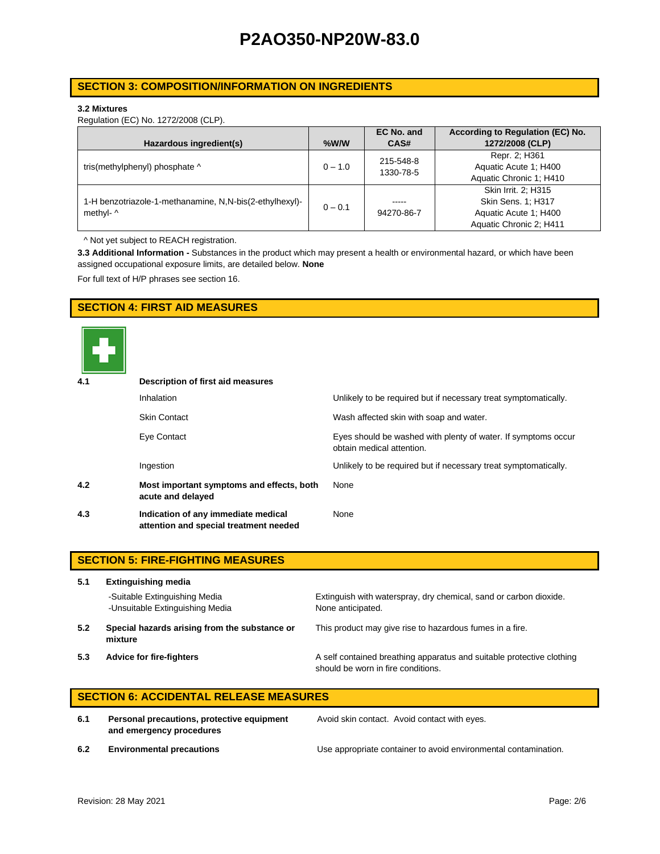### **SECTION 3: COMPOSITION/INFORMATION ON INGREDIENTS**

#### **3.2 Mixtures**

Regulation (EC) No. 1272/2008 (CLP).

|                                                         |           | EC No. and | According to Regulation (EC) No. |
|---------------------------------------------------------|-----------|------------|----------------------------------|
| Hazardous ingredient(s)                                 | $%$ W/W   | CAS#       | 1272/2008 (CLP)                  |
|                                                         |           | 215-548-8  | Repr. 2; H361                    |
| tris(methylphenyl) phosphate ^                          | $0 - 1.0$ | 1330-78-5  | Aquatic Acute 1: H400            |
|                                                         |           |            | Aquatic Chronic 1; H410          |
|                                                         |           |            | Skin Irrit. 2: H315              |
| 1-H benzotriazole-1-methanamine, N,N-bis(2-ethylhexyl)- | $0 - 0.1$ | -----      | Skin Sens. 1; H317               |
| methyl- ^                                               |           | 94270-86-7 | Aquatic Acute 1: H400            |
|                                                         |           |            | Aquatic Chronic 2; H411          |

^ Not yet subject to REACH registration.

**3.3 Additional Information -** Substances in the product which may present a health or environmental hazard, or which have been assigned occupational exposure limits, are detailed below. **None**

For full text of H/P phrases see section 16.

## **SECTION 4: FIRST AID MEASURES**



| 4.1 | Description of first aid measures                                             |                                                                                            |  |  |
|-----|-------------------------------------------------------------------------------|--------------------------------------------------------------------------------------------|--|--|
|     | <b>Inhalation</b>                                                             | Unlikely to be required but if necessary treat symptomatically.                            |  |  |
|     | <b>Skin Contact</b>                                                           | Wash affected skin with soap and water.                                                    |  |  |
|     | Eye Contact                                                                   | Eyes should be washed with plenty of water. If symptoms occur<br>obtain medical attention. |  |  |
|     | Ingestion                                                                     | Unlikely to be required but if necessary treat symptomatically.                            |  |  |
| 4.2 | Most important symptoms and effects, both<br>acute and delayed                | None                                                                                       |  |  |
| 4.3 | Indication of any immediate medical<br>attention and special treatment needed | None                                                                                       |  |  |

|     | <b>SECTION 5: FIRE-FIGHTING MEASURES</b>                         |                                                                                                             |  |  |
|-----|------------------------------------------------------------------|-------------------------------------------------------------------------------------------------------------|--|--|
| 5.1 | <b>Extinguishing media</b>                                       |                                                                                                             |  |  |
|     | -Suitable Extinguishing Media<br>-Unsuitable Extinguishing Media | Extinguish with waterspray, dry chemical, sand or carbon dioxide.<br>None anticipated.                      |  |  |
| 5.2 | Special hazards arising from the substance or<br>mixture         | This product may give rise to hazardous fumes in a fire.                                                    |  |  |
| 5.3 | <b>Advice for fire-fighters</b>                                  | A self contained breathing apparatus and suitable protective clothing<br>should be worn in fire conditions. |  |  |

# **SECTION 6: ACCIDENTAL RELEASE MEASURES**

**6.1 Personal precautions, protective equipment and emergency procedures**

Avoid skin contact. Avoid contact with eyes.

**6.2 Environmental precautions** Use appropriate container to avoid environmental contamination.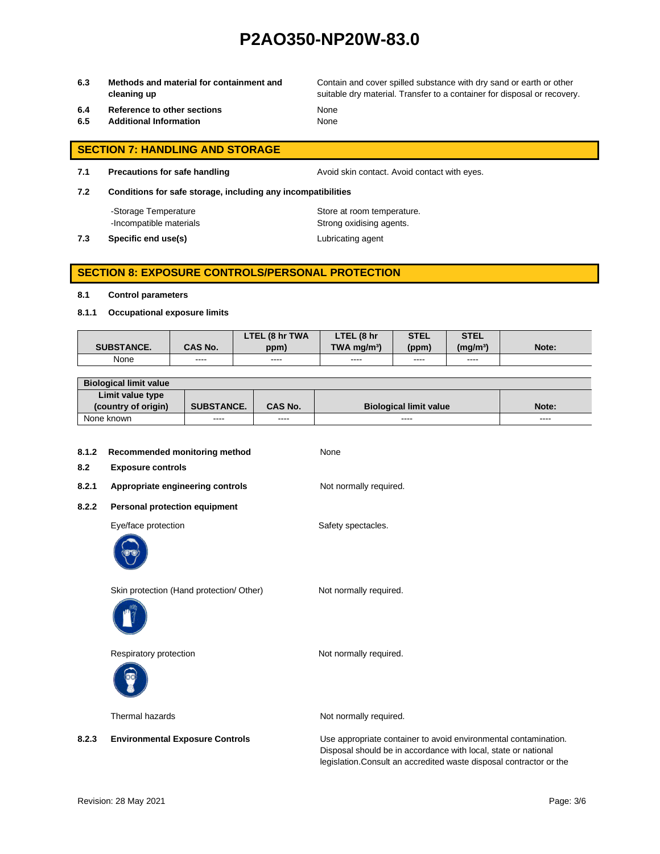**6.3 Methods and material for containment and cleaning up**

Contain and cover spilled substance with dry sand or earth or other suitable dry material. Transfer to a container for disposal or recovery.

- **6.4 Reference to other sections** None
- **6.5 Additional Information** None

# **SECTION 7: HANDLING AND STORAGE**

**7.1 Precautions for safe handling Avoid skin contact. Avoid contact with eyes.** 

**7.2 Conditions for safe storage, including any incompatibilities**

-Storage Temperature **Store at room temperature.** 

-Incompatible materials **Strong oxidising agents**. **7.3 Specific end use(s)** Lubricating agent

### **SECTION 8: EXPOSURE CONTROLS/PERSONAL PROTECTION**

#### **8.1 Control parameters**

**8.1.1 Occupational exposure limits**

|                   |                | LTEL (8 hr TWA | LTEL (8 hr                | <b>STEL</b> | <b>STEL</b>          |       |
|-------------------|----------------|----------------|---------------------------|-------------|----------------------|-------|
| <b>SUBSTANCE.</b> | <b>CAS No.</b> | ppm)           | $TWA$ ma/m <sup>3</sup> ) | (ppm)       | (mg/m <sup>3</sup> ) | Note: |
| None              | ----           | ----           | ----                      | ----        | ----                 |       |

| <b>Biological limit value</b> |                   |                |                               |       |
|-------------------------------|-------------------|----------------|-------------------------------|-------|
| Limit value type              |                   |                |                               |       |
| (country of origin)           | <b>SUBSTANCE.</b> | <b>CAS No.</b> | <b>Biological limit value</b> | Note: |
| None known                    | ----              | ----           | ----                          | ----  |

| 8.1.2<br>8.2 | Recommended monitoring method<br><b>Exposure controls</b> | None                                                                                                                              |
|--------------|-----------------------------------------------------------|-----------------------------------------------------------------------------------------------------------------------------------|
| 8.2.1        | Appropriate engineering controls                          | Not normally required.                                                                                                            |
| 8.2.2        | <b>Personal protection equipment</b>                      |                                                                                                                                   |
|              | Eye/face protection                                       | Safety spectacles.                                                                                                                |
|              | Skin protection (Hand protection/ Other)                  | Not normally required.                                                                                                            |
|              | Respiratory protection                                    | Not normally required.                                                                                                            |
|              | Thermal hazards                                           | Not normally required.                                                                                                            |
| 8.2.3        | <b>Environmental Exposure Controls</b>                    | Use appropriate container to avoid environmental contamination.<br>Disposal should be in accordance with local, state or national |

legislation.Consult an accredited waste disposal contractor or the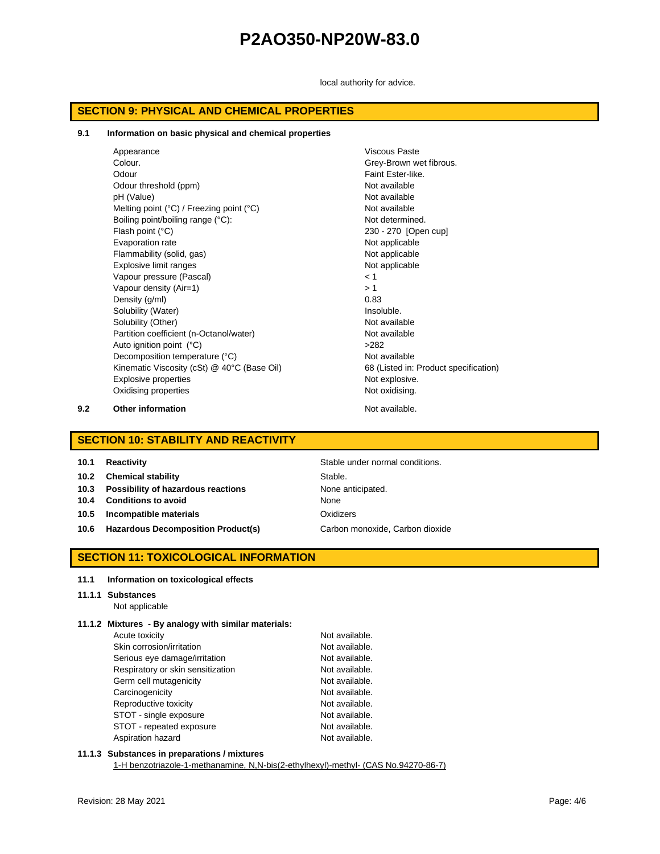local authority for advice.

### **SECTION 9: PHYSICAL AND CHEMICAL PROPERTIES**

#### **9.1 Information on basic physical and chemical properties**

Appearance Viscous Paste Colour. Grey-Brown wet fibrous. Odour Faint Ester-like. Odour threshold (ppm) Not available pH (Value) Not available Melting point (°C) / Freezing point (°C) Not available Boiling point/boiling range (°C): Not determined. Flash point (°C) 230 - 270 [Open cup] Evaporation rate **Not applicable** Not applicable Flammability (solid, gas) Not applicable Explosive limit ranges Not applicable Vapour pressure (Pascal) < 1 Vapour density  $(Air=1)$   $> 1$ Density  $(q/ml)$  0.83 Solubility (Water) and the soluble soluble. Solubility (Other) Not available Partition coefficient (n-Octanol/water) Not available Auto ignition point (°C)  $>282$ Decomposition temperature (°C) Not available Kinematic Viscosity (cSt) @ 40°C (Base Oil) 68 (Listed in: Product specification) Explosive properties Not explosive. Oxidising properties Not oxidising.

**9.2 Other information Not available.** 

# **SECTION 10: STABILITY AND REACTIVITY**

| 10.1 | <b>Reactivity</b> |
|------|-------------------|
|------|-------------------|

**10.2 Chemical stability** Stable.

- **10.3 Possibility of hazardous reactions** None anticipated.
- **10.4 Conditions to avoid None** None
- **10.5 Incompatible materials Calculated Example 20 and Data Control of Algorithment Oxidizers**
- **10.6 Hazardous Decomposition Product(s)** Carbon monoxide, Carbon dioxide

**Stable under normal conditions.** 

### **SECTION 11: TOXICOLOGICAL INFORMATION**

#### **11.1 Information on toxicological effects**

#### **11.1.1 Substances**

Not applicable

### **11.1.2 Mixtures - By analogy with similar materials:**

| Acute toxicity                    | Not available. |
|-----------------------------------|----------------|
| Skin corrosion/irritation         | Not available. |
| Serious eye damage/irritation     | Not available. |
| Respiratory or skin sensitization | Not available. |
| Germ cell mutagenicity            | Not available. |
| Carcinogenicity                   | Not available. |
| Reproductive toxicity             | Not available. |
| STOT - single exposure            | Not available. |
| STOT - repeated exposure          | Not available. |
| Aspiration hazard                 | Not available. |

### **11.1.3 Substances in preparations / mixtures**

1-H benzotriazole-1-methanamine, N,N-bis(2-ethylhexyl)-methyl- (CAS No.94270-86-7)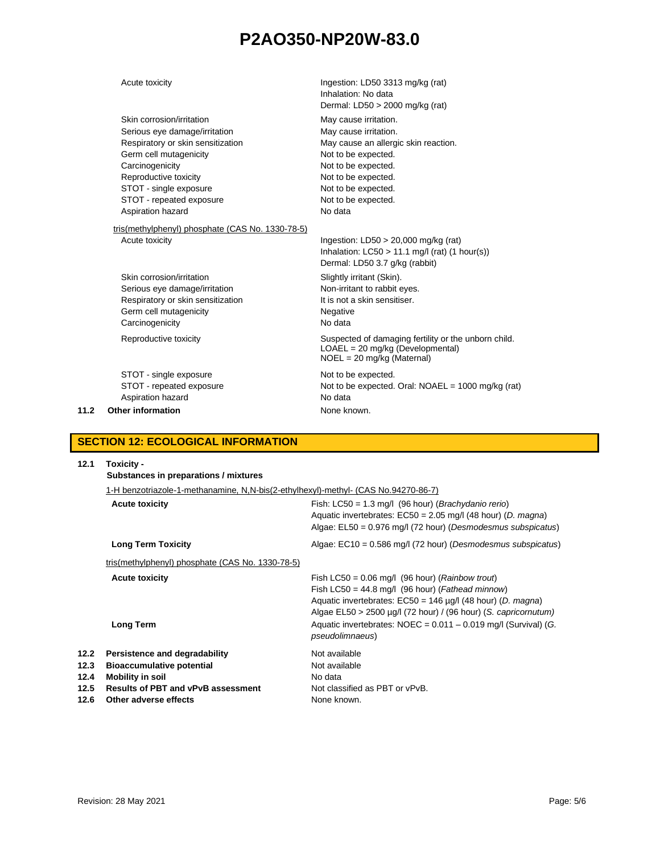|      | Acute toxicity                                   | Ingestion: LD50 3313 mg/kg (rat)<br>Inhalation: No data<br>Dermal: LD50 > 2000 mg/kg (rat)                                   |
|------|--------------------------------------------------|------------------------------------------------------------------------------------------------------------------------------|
|      | Skin corrosion/irritation                        | May cause irritation.                                                                                                        |
|      | Serious eye damage/irritation                    | May cause irritation.                                                                                                        |
|      | Respiratory or skin sensitization                | May cause an allergic skin reaction.                                                                                         |
|      | Germ cell mutagenicity                           | Not to be expected.                                                                                                          |
|      | Carcinogenicity                                  | Not to be expected.                                                                                                          |
|      | Reproductive toxicity                            | Not to be expected.                                                                                                          |
|      | STOT - single exposure                           | Not to be expected.                                                                                                          |
|      | STOT - repeated exposure                         | Not to be expected.                                                                                                          |
|      | Aspiration hazard                                | No data                                                                                                                      |
|      | tris(methylphenyl) phosphate (CAS No. 1330-78-5) |                                                                                                                              |
|      | Acute toxicity                                   | Ingestion: $LD50 > 20,000$ mg/kg (rat)<br>Inhalation: $LC50 > 11.1$ mg/l (rat) (1 hour(s))<br>Dermal: LD50 3.7 g/kg (rabbit) |
|      | Skin corrosion/irritation                        | Slightly irritant (Skin).                                                                                                    |
|      | Serious eye damage/irritation                    | Non-irritant to rabbit eyes.                                                                                                 |
|      | Respiratory or skin sensitization                | It is not a skin sensitiser.                                                                                                 |
|      | Germ cell mutagenicity                           | Negative                                                                                                                     |
|      | Carcinogenicity                                  | No data                                                                                                                      |
|      | Reproductive toxicity                            | Suspected of damaging fertility or the unborn child.<br>$LOAEL = 20$ mg/kg (Developmental)<br>$NOEL = 20$ mg/kg (Maternal)   |
|      | STOT - single exposure                           | Not to be expected.                                                                                                          |
|      | STOT - repeated exposure                         | Not to be expected. Oral: $NOAEL = 1000$ mg/kg (rat)                                                                         |
|      | Aspiration hazard                                | No data                                                                                                                      |
| 11.2 | <b>Other information</b>                         | None known.                                                                                                                  |
|      |                                                  |                                                                                                                              |

# **SECTION 12: ECOLOGICAL INFORMATION**

| 12.1                                 | Toxicity -<br>Substances in preparations / mixtures                                                                                                                |                                                                                                                                                                                                                                                            |  |  |
|--------------------------------------|--------------------------------------------------------------------------------------------------------------------------------------------------------------------|------------------------------------------------------------------------------------------------------------------------------------------------------------------------------------------------------------------------------------------------------------|--|--|
|                                      | 1-H benzotriazole-1-methanamine, N,N-bis(2-ethylhexyl)-methyl- (CAS No.94270-86-7)                                                                                 |                                                                                                                                                                                                                                                            |  |  |
|                                      | <b>Acute toxicity</b>                                                                                                                                              | Fish: $LC50 = 1.3$ mg/l (96 hour) ( <i>Brachydanio rerio</i> )<br>Aquatic invertebrates: EC50 = 2.05 mg/l (48 hour) (D. magna)<br>Algae: $E L50 = 0.976$ mg/l (72 hour) (Desmodesmus subspicatus)                                                          |  |  |
|                                      | <b>Long Term Toxicity</b>                                                                                                                                          | Algae: $EC10 = 0.586$ mg/l (72 hour) (Desmodesmus subspicatus)                                                                                                                                                                                             |  |  |
|                                      | tris(methylphenyl) phosphate (CAS No. 1330-78-5)                                                                                                                   |                                                                                                                                                                                                                                                            |  |  |
| <b>Acute toxicity</b>                |                                                                                                                                                                    | Fish LC50 = $0.06$ mg/l (96 hour) ( <i>Rainbow trout</i> )<br>Fish LC50 = 44.8 mg/l (96 hour) (Fathead minnow)<br>Aquatic invertebrates: $EC50 = 146 \mu g/l$ (48 hour) (D. magna)<br>Algae $EL50 > 2500 \mu g/l$ (72 hour) / (96 hour) (S. capricornutum) |  |  |
|                                      | <b>Long Term</b>                                                                                                                                                   | Aquatic invertebrates: $NOEC = 0.011 - 0.019$ mg/l (Survival) (G.<br>pseudolimnaeus)                                                                                                                                                                       |  |  |
| 12.2<br>12.3<br>12.4<br>12.5<br>12.6 | Persistence and degradability<br><b>Bioaccumulative potential</b><br><b>Mobility in soil</b><br><b>Results of PBT and vPvB assessment</b><br>Other adverse effects | Not available<br>Not available<br>No data<br>Not classified as PBT or vPvB.<br>None known.                                                                                                                                                                 |  |  |